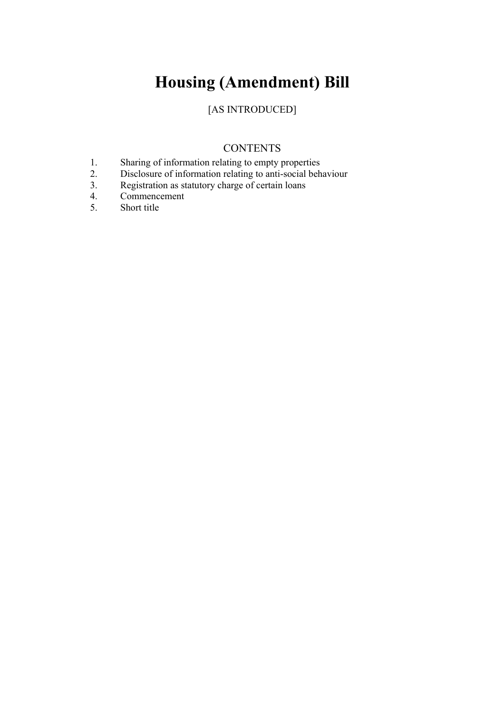# **Housing (Amendment) Bill**

### [AS INTRODUCED]

### **CONTENTS**

- 1. Sharing of information relating to empty properties<br>2. Disclosure of information relating to anti-social beh
- 2. Disclosure of information relating to anti-social behaviour<br>3. Registration as statutory charge of certain loans
- Registration as statutory charge of certain loans
- 4. Commencement
- 5. Short title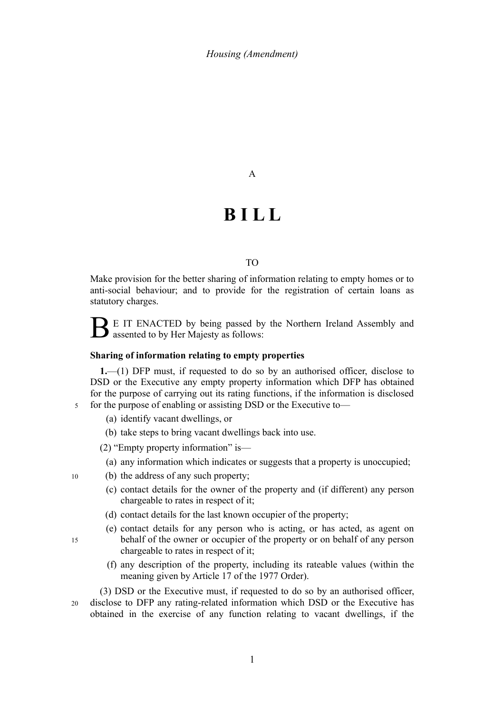A

## **B I L L**

#### TO

Make provision for the better sharing of information relating to empty homes or to anti-social behaviour; and to provide for the registration of certain loans as statutory charges.

B E IT ENACTED by being passed by the Northern Ireland Assembly and assented to by Her Majesty as follows:

#### **Sharing of information relating to empty properties**

**1.**—(1) DFP must, if requested to do so by an authorised officer, disclose to DSD or the Executive any empty property information which DFP has obtained for the purpose of carrying out its rating functions, if the information is disclosed for the purpose of enabling or assisting DSD or the Executive to—

(a) identify vacant dwellings, or

5

15

(b) take steps to bring vacant dwellings back into use.

(2) "Empty property information" is—

- (a) any information which indicates or suggests that a property is unoccupied;
- (b) the address of any such property; 10
	- (c) contact details for the owner of the property and (if different) any person chargeable to rates in respect of it;
	- (d) contact details for the last known occupier of the property;
	- (e) contact details for any person who is acting, or has acted, as agent on behalf of the owner or occupier of the property or on behalf of any person chargeable to rates in respect of it;
	- (f) any description of the property, including its rateable values (within the meaning given by Article 17 of the 1977 Order).

(3) DSD or the Executive must, if requested to do so by an authorised officer, disclose to DFP any rating-related information which DSD or the Executive has obtained in the exercise of any function relating to vacant dwellings, if the 20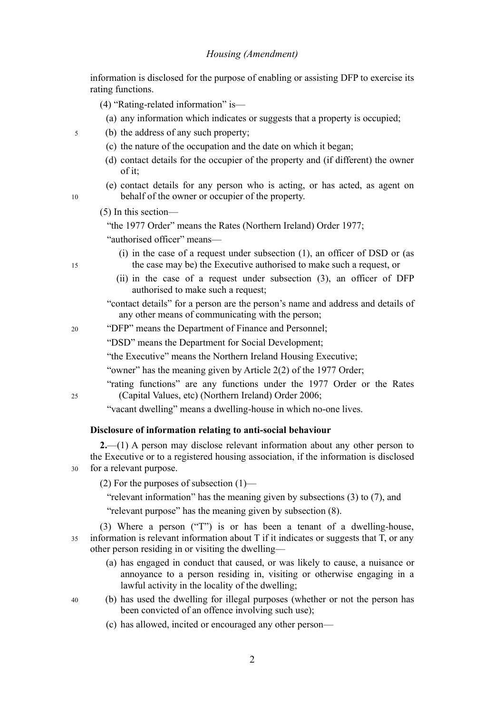information is disclosed for the purpose of enabling or assisting DFP to exercise its rating functions.

- (4) "Rating-related information" is—
	- (a) any information which indicates or suggests that a property is occupied;
- (b) the address of any such property; 5
	- (c) the nature of the occupation and the date on which it began;
	- (d) contact details for the occupier of the property and (if different) the owner of it;
	- (e) contact details for any person who is acting, or has acted, as agent on behalf of the owner or occupier of the property.
	- (5) In this section—

"the 1977 Order" means the Rates (Northern Ireland) Order 1977;

"authorised officer" means—

- (i) in the case of a request under subsection (1), an officer of DSD or (as the case may be) the Executive authorised to make such a request, or
- (ii) in the case of a request under subsection (3), an officer of DFP authorised to make such a request;

"contact details" for a person are the person's name and address and details of any other means of communicating with the person;

"DFP" means the Department of Finance and Personnel; 20

"DSD" means the Department for Social Development;

"the Executive" means the Northern Ireland Housing Executive;

"owner" has the meaning given by Article 2(2) of the 1977 Order;

"rating functions" are any functions under the 1977 Order or the Rates (Capital Values, etc) (Northern Ireland) Order 2006;

"vacant dwelling" means a dwelling-house in which no-one lives.

#### **Disclosure of information relating to anti-social behaviour**

**2.**—(1) A person may disclose relevant information about any other person to the Executive or to a registered housing association, if the information is disclosed for a relevant purpose. 30

(2) For the purposes of subsection  $(1)$ —

"relevant information" has the meaning given by subsections (3) to (7), and

"relevant purpose" has the meaning given by subsection (8).

(3) Where a person ("T") is or has been a tenant of a dwelling-house, information is relevant information about T if it indicates or suggests that T, or any other person residing in or visiting the dwelling— 35

- (a) has engaged in conduct that caused, or was likely to cause, a nuisance or annoyance to a person residing in, visiting or otherwise engaging in a lawful activity in the locality of the dwelling;
- (b) has used the dwelling for illegal purposes (whether or not the person has been convicted of an offence involving such use);
	- (c) has allowed, incited or encouraged any other person—

15

25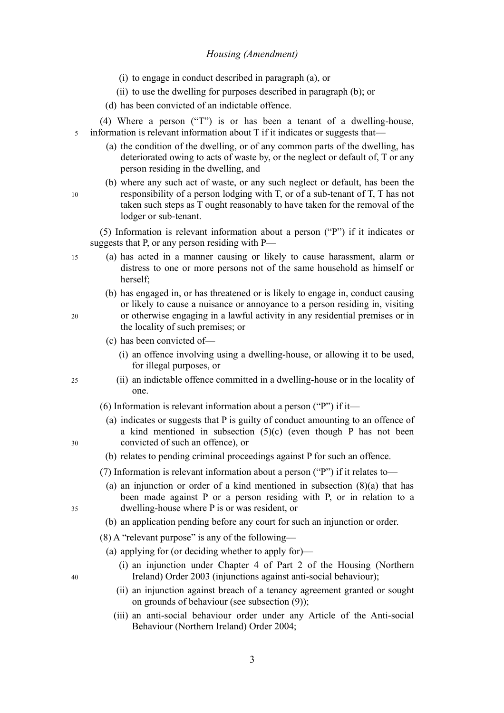- (i) to engage in conduct described in paragraph (a), or
- (ii) to use the dwelling for purposes described in paragraph (b); or
- (d) has been convicted of an indictable offence.
- (4) Where a person ("T") is or has been a tenant of a dwelling-house, information is relevant information about T if it indicates or suggests that— 5
	- (a) the condition of the dwelling, or of any common parts of the dwelling, has deteriorated owing to acts of waste by, or the neglect or default of, T or any person residing in the dwelling, and
	- (b) where any such act of waste, or any such neglect or default, has been the responsibility of a person lodging with T, or of a sub-tenant of T, T has not taken such steps as T ought reasonably to have taken for the removal of the lodger or sub-tenant.

(5) Information is relevant information about a person ("P") if it indicates or suggests that P, or any person residing with P—

- (a) has acted in a manner causing or likely to cause harassment, alarm or distress to one or more persons not of the same household as himself or herself;
	- (b) has engaged in, or has threatened or is likely to engage in, conduct causing or likely to cause a nuisance or annoyance to a person residing in, visiting or otherwise engaging in a lawful activity in any residential premises or in the locality of such premises; or
	- (c) has been convicted of—
		- (i) an offence involving using a dwelling-house, or allowing it to be used, for illegal purposes, or
	- (ii) an indictable offence committed in a dwelling-house or in the locality of one.
	- (6) Information is relevant information about a person ("P") if it—
		- (a) indicates or suggests that P is guilty of conduct amounting to an offence of a kind mentioned in subsection  $(5)(c)$  (even though P has not been convicted of such an offence), or
	- (b) relates to pending criminal proceedings against P for such an offence.
	- (7) Information is relevant information about a person ("P") if it relates to—
		- (a) an injunction or order of a kind mentioned in subsection  $(8)(a)$  that has been made against P or a person residing with P, or in relation to a dwelling-house where P is or was resident, or
	- (b) an application pending before any court for such an injunction or order.
	- (8) A "relevant purpose" is any of the following—
	- (a) applying for (or deciding whether to apply for)—
		- (i) an injunction under Chapter 4 of Part 2 of the Housing (Northern Ireland) Order 2003 (injunctions against anti-social behaviour);
		- (ii) an injunction against breach of a tenancy agreement granted or sought on grounds of behaviour (see subsection (9));
		- (iii) an anti-social behaviour order under any Article of the Anti-social Behaviour (Northern Ireland) Order 2004;

35

40

15

10

20

25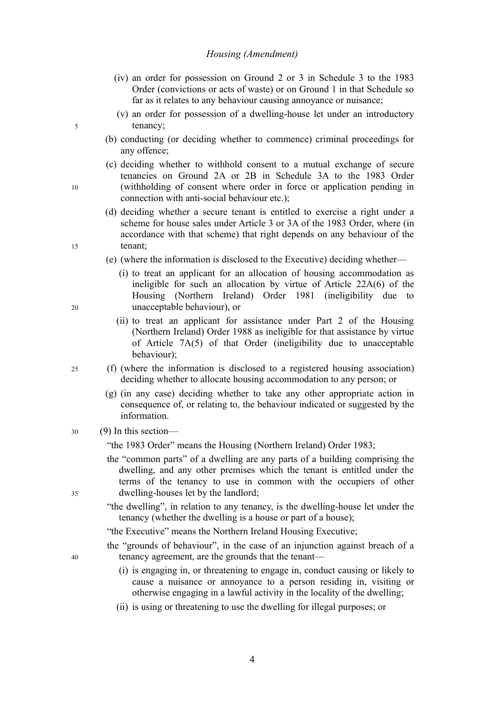- (iv) an order for possession on Ground 2 or 3 in Schedule 3 to the 1983 Order (convictions or acts of waste) or on Ground 1 in that Schedule so far as it relates to any behaviour causing annoyance or nuisance;
- (v) an order for possession of a dwelling-house let under an introductory tenancy;
- (b) conducting (or deciding whether to commence) criminal proceedings for any offence;
- (c) deciding whether to withhold consent to a mutual exchange of secure tenancies on Ground 2A or 2B in Schedule 3A to the 1983 Order (withholding of consent where order in force or application pending in connection with anti-social behaviour etc.);
- (d) deciding whether a secure tenant is entitled to exercise a right under a scheme for house sales under Article 3 or 3A of the 1983 Order, where (in accordance with that scheme) that right depends on any behaviour of the tenant;
- (e) (where the information is disclosed to the Executive) deciding whether—
	- (i) to treat an applicant for an allocation of housing accommodation as ineligible for such an allocation by virtue of Article 22A(6) of the Housing (Northern Ireland) Order 1981 (ineligibility due to unacceptable behaviour), or
	- (ii) to treat an applicant for assistance under Part 2 of the Housing (Northern Ireland) Order 1988 as ineligible for that assistance by virtue of Article 7A(5) of that Order (ineligibility due to unacceptable behaviour);
- (f) (where the information is disclosed to a registered housing association) deciding whether to allocate housing accommodation to any person; or 25
	- (g) (in any case) deciding whether to take any other appropriate action in consequence of, or relating to, the behaviour indicated or suggested by the information.
- (9) In this section— 30

"the 1983 Order" means the Housing (Northern Ireland) Order 1983;

- the "common parts" of a dwelling are any parts of a building comprising the dwelling, and any other premises which the tenant is entitled under the terms of the tenancy to use in common with the occupiers of other dwelling-houses let by the landlord;
- "the dwelling", in relation to any tenancy, is the dwelling-house let under the tenancy (whether the dwelling is a house or part of a house);

"the Executive" means the Northern Ireland Housing Executive;

- the "grounds of behaviour", in the case of an injunction against breach of a tenancy agreement, are the grounds that the tenant—
	- (i) is engaging in, or threatening to engage in, conduct causing or likely to cause a nuisance or annoyance to a person residing in, visiting or otherwise engaging in a lawful activity in the locality of the dwelling;
	- (ii) is using or threatening to use the dwelling for illegal purposes; or

5

10

15

 $20$ 

35